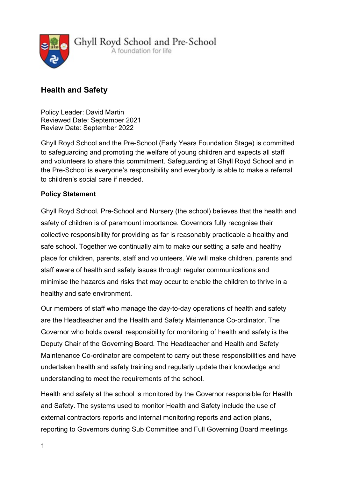

# Health and Safety

Policy Leader: David Martin Reviewed Date: September 2021 Review Date: September 2022

Ghyll Royd School and the Pre-School (Early Years Foundation Stage) is committed to safeguarding and promoting the welfare of young children and expects all staff and volunteers to share this commitment. Safeguarding at Ghyll Royd School and in the Pre-School is everyone's responsibility and everybody is able to make a referral to children's social care if needed.

## Policy Statement

Ghyll Royd School, Pre-School and Nursery (the school) believes that the health and safety of children is of paramount importance. Governors fully recognise their collective responsibility for providing as far is reasonably practicable a healthy and safe school. Together we continually aim to make our setting a safe and healthy place for children, parents, staff and volunteers. We will make children, parents and staff aware of health and safety issues through regular communications and minimise the hazards and risks that may occur to enable the children to thrive in a healthy and safe environment.

Our members of staff who manage the day-to-day operations of health and safety are the Headteacher and the Health and Safety Maintenance Co-ordinator. The Governor who holds overall responsibility for monitoring of health and safety is the Deputy Chair of the Governing Board. The Headteacher and Health and Safety Maintenance Co-ordinator are competent to carry out these responsibilities and have undertaken health and safety training and regularly update their knowledge and understanding to meet the requirements of the school.

Health and safety at the school is monitored by the Governor responsible for Health and Safety. The systems used to monitor Health and Safety include the use of external contractors reports and internal monitoring reports and action plans, reporting to Governors during Sub Committee and Full Governing Board meetings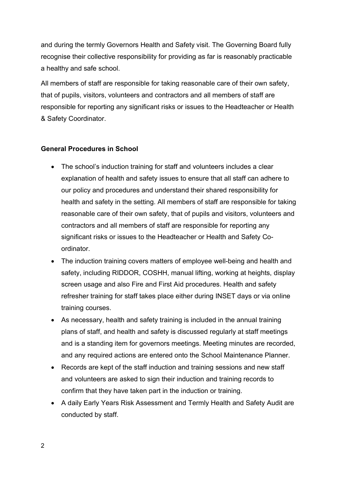and during the termly Governors Health and Safety visit. The Governing Board fully recognise their collective responsibility for providing as far is reasonably practicable a healthy and safe school.

All members of staff are responsible for taking reasonable care of their own safety, that of pupils, visitors, volunteers and contractors and all members of staff are responsible for reporting any significant risks or issues to the Headteacher or Health & Safety Coordinator.

## General Procedures in School

- The school's induction training for staff and volunteers includes a clear explanation of health and safety issues to ensure that all staff can adhere to our policy and procedures and understand their shared responsibility for health and safety in the setting. All members of staff are responsible for taking reasonable care of their own safety, that of pupils and visitors, volunteers and contractors and all members of staff are responsible for reporting any significant risks or issues to the Headteacher or Health and Safety Coordinator.
- The induction training covers matters of employee well-being and health and safety, including RIDDOR, COSHH, manual lifting, working at heights, display screen usage and also Fire and First Aid procedures. Health and safety refresher training for staff takes place either during INSET days or via online training courses.
- As necessary, health and safety training is included in the annual training plans of staff, and health and safety is discussed regularly at staff meetings and is a standing item for governors meetings. Meeting minutes are recorded, and any required actions are entered onto the School Maintenance Planner.
- Records are kept of the staff induction and training sessions and new staff and volunteers are asked to sign their induction and training records to confirm that they have taken part in the induction or training.
- A daily Early Years Risk Assessment and Termly Health and Safety Audit are conducted by staff.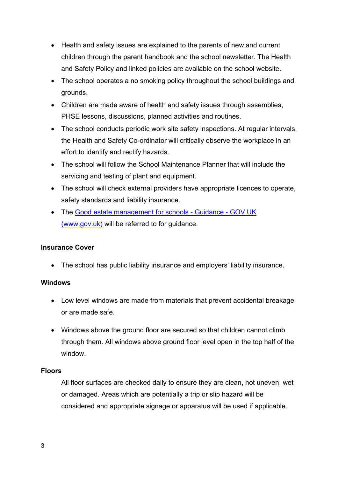- Health and safety issues are explained to the parents of new and current children through the parent handbook and the school newsletter. The Health and Safety Policy and linked policies are available on the school website.
- The school operates a no smoking policy throughout the school buildings and grounds.
- Children are made aware of health and safety issues through assemblies, PHSE lessons, discussions, planned activities and routines.
- The school conducts periodic work site safety inspections. At regular intervals, the Health and Safety Co-ordinator will critically observe the workplace in an effort to identify and rectify hazards.
- The school will follow the School Maintenance Planner that will include the servicing and testing of plant and equipment.
- The school will check external providers have appropriate licences to operate, safety standards and liability insurance.
- The Good estate management for schools Guidance GOV.UK (www.gov.uk) will be referred to for guidance.

## Insurance Cover

The school has public liability insurance and employers' liability insurance.

## **Windows**

- Low level windows are made from materials that prevent accidental breakage or are made safe.
- Windows above the ground floor are secured so that children cannot climb through them. All windows above ground floor level open in the top half of the window.

#### Floors

All floor surfaces are checked daily to ensure they are clean, not uneven, wet or damaged. Areas which are potentially a trip or slip hazard will be considered and appropriate signage or apparatus will be used if applicable.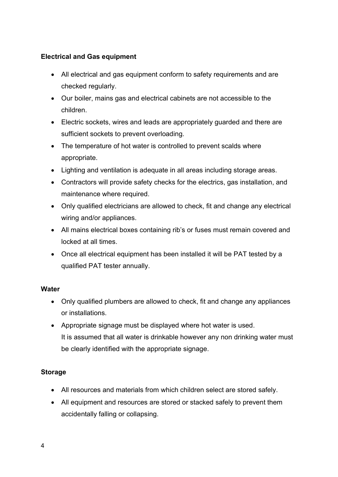## Electrical and Gas equipment

- All electrical and gas equipment conform to safety requirements and are checked regularly.
- Our boiler, mains gas and electrical cabinets are not accessible to the children.
- Electric sockets, wires and leads are appropriately guarded and there are sufficient sockets to prevent overloading.
- The temperature of hot water is controlled to prevent scalds where appropriate.
- Lighting and ventilation is adequate in all areas including storage areas.
- Contractors will provide safety checks for the electrics, gas installation, and maintenance where required.
- Only qualified electricians are allowed to check, fit and change any electrical wiring and/or appliances.
- All mains electrical boxes containing rib's or fuses must remain covered and locked at all times.
- Once all electrical equipment has been installed it will be PAT tested by a qualified PAT tester annually.

#### **Water**

- Only qualified plumbers are allowed to check, fit and change any appliances or installations.
- Appropriate signage must be displayed where hot water is used. It is assumed that all water is drinkable however any non drinking water must be clearly identified with the appropriate signage.

## **Storage**

- All resources and materials from which children select are stored safely.
- All equipment and resources are stored or stacked safely to prevent them accidentally falling or collapsing.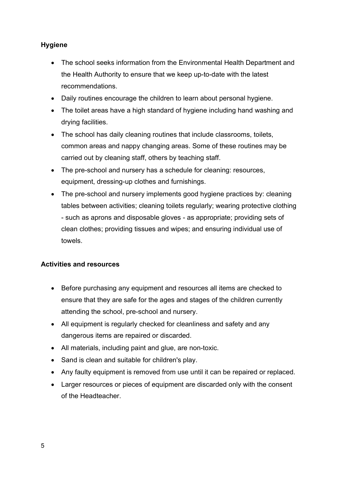## Hygiene

- The school seeks information from the Environmental Health Department and the Health Authority to ensure that we keep up-to-date with the latest recommendations.
- Daily routines encourage the children to learn about personal hygiene.
- The toilet areas have a high standard of hygiene including hand washing and drying facilities.
- The school has daily cleaning routines that include classrooms, toilets, common areas and nappy changing areas. Some of these routines may be carried out by cleaning staff, others by teaching staff.
- The pre-school and nursery has a schedule for cleaning: resources, equipment, dressing-up clothes and furnishings.
- The pre-school and nursery implements good hygiene practices by: cleaning tables between activities; cleaning toilets regularly; wearing protective clothing - such as aprons and disposable gloves - as appropriate; providing sets of clean clothes; providing tissues and wipes; and ensuring individual use of towels.

## Activities and resources

- Before purchasing any equipment and resources all items are checked to ensure that they are safe for the ages and stages of the children currently attending the school, pre-school and nursery.
- All equipment is regularly checked for cleanliness and safety and any dangerous items are repaired or discarded.
- All materials, including paint and glue, are non-toxic.
- Sand is clean and suitable for children's play.
- Any faulty equipment is removed from use until it can be repaired or replaced.
- Larger resources or pieces of equipment are discarded only with the consent of the Headteacher.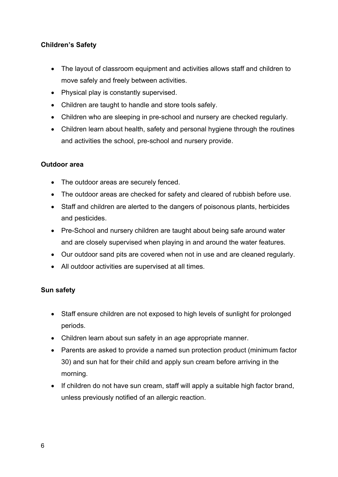## Children's Safety

- The layout of classroom equipment and activities allows staff and children to move safely and freely between activities.
- Physical play is constantly supervised.
- Children are taught to handle and store tools safely.
- Children who are sleeping in pre-school and nursery are checked regularly.
- Children learn about health, safety and personal hygiene through the routines and activities the school, pre-school and nursery provide.

## Outdoor area

- The outdoor areas are securely fenced.
- The outdoor areas are checked for safety and cleared of rubbish before use.
- Staff and children are alerted to the dangers of poisonous plants, herbicides and pesticides.
- Pre-School and nursery children are taught about being safe around water and are closely supervised when playing in and around the water features.
- Our outdoor sand pits are covered when not in use and are cleaned regularly.
- All outdoor activities are supervised at all times.

## Sun safety

- Staff ensure children are not exposed to high levels of sunlight for prolonged periods.
- Children learn about sun safety in an age appropriate manner.
- Parents are asked to provide a named sun protection product (minimum factor 30) and sun hat for their child and apply sun cream before arriving in the morning.
- If children do not have sun cream, staff will apply a suitable high factor brand, unless previously notified of an allergic reaction.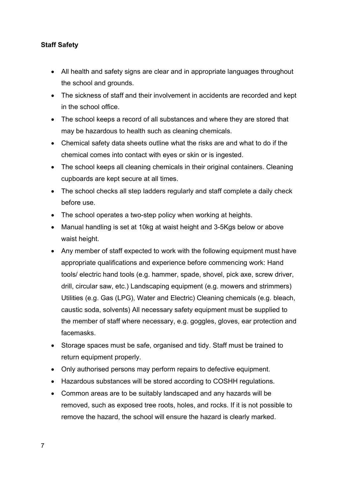## Staff Safety

- All health and safety signs are clear and in appropriate languages throughout the school and grounds.
- The sickness of staff and their involvement in accidents are recorded and kept in the school office.
- The school keeps a record of all substances and where they are stored that may be hazardous to health such as cleaning chemicals.
- Chemical safety data sheets outline what the risks are and what to do if the chemical comes into contact with eyes or skin or is ingested.
- The school keeps all cleaning chemicals in their original containers. Cleaning cupboards are kept secure at all times.
- The school checks all step ladders regularly and staff complete a daily check before use.
- The school operates a two-step policy when working at heights.
- Manual handling is set at 10kg at waist height and 3-5Kgs below or above waist height.
- Any member of staff expected to work with the following equipment must have appropriate qualifications and experience before commencing work: Hand tools/ electric hand tools (e.g. hammer, spade, shovel, pick axe, screw driver, drill, circular saw, etc.) Landscaping equipment (e.g. mowers and strimmers) Utilities (e.g. Gas (LPG), Water and Electric) Cleaning chemicals (e.g. bleach, caustic soda, solvents) All necessary safety equipment must be supplied to the member of staff where necessary, e.g. goggles, gloves, ear protection and facemasks.
- Storage spaces must be safe, organised and tidy. Staff must be trained to return equipment properly.
- Only authorised persons may perform repairs to defective equipment.
- Hazardous substances will be stored according to COSHH regulations.
- Common areas are to be suitably landscaped and any hazards will be removed, such as exposed tree roots, holes, and rocks. If it is not possible to remove the hazard, the school will ensure the hazard is clearly marked.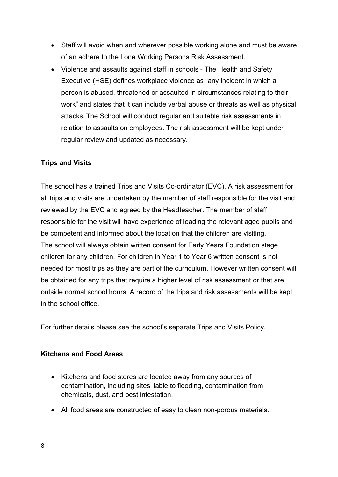- Staff will avoid when and wherever possible working alone and must be aware of an adhere to the Lone Working Persons Risk Assessment.
- Violence and assaults against staff in schools The Health and Safety Executive (HSE) defines workplace violence as "any incident in which a person is abused, threatened or assaulted in circumstances relating to their work" and states that it can include verbal abuse or threats as well as physical attacks. The School will conduct regular and suitable risk assessments in relation to assaults on employees. The risk assessment will be kept under regular review and updated as necessary.

## Trips and Visits

The school has a trained Trips and Visits Co-ordinator (EVC). A risk assessment for all trips and visits are undertaken by the member of staff responsible for the visit and reviewed by the EVC and agreed by the Headteacher. The member of staff responsible for the visit will have experience of leading the relevant aged pupils and be competent and informed about the location that the children are visiting. The school will always obtain written consent for Early Years Foundation stage children for any children. For children in Year 1 to Year 6 written consent is not needed for most trips as they are part of the curriculum. However written consent will be obtained for any trips that require a higher level of risk assessment or that are outside normal school hours. A record of the trips and risk assessments will be kept in the school office.

For further details please see the school's separate Trips and Visits Policy.

#### Kitchens and Food Areas

- Kitchens and food stores are located away from any sources of contamination, including sites liable to flooding, contamination from chemicals, dust, and pest infestation.
- All food areas are constructed of easy to clean non-porous materials.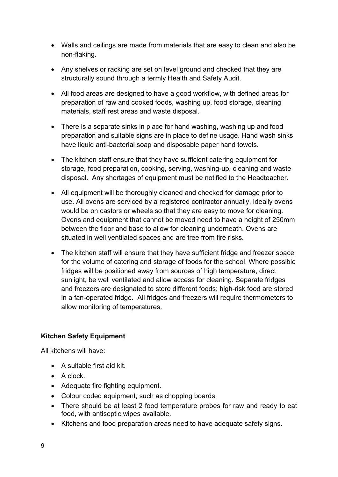- Walls and ceilings are made from materials that are easy to clean and also be non-flaking.
- Any shelves or racking are set on level ground and checked that they are structurally sound through a termly Health and Safety Audit.
- All food areas are designed to have a good workflow, with defined areas for preparation of raw and cooked foods, washing up, food storage, cleaning materials, staff rest areas and waste disposal.
- There is a separate sinks in place for hand washing, washing up and food preparation and suitable signs are in place to define usage. Hand wash sinks have liquid anti-bacterial soap and disposable paper hand towels.
- The kitchen staff ensure that they have sufficient catering equipment for storage, food preparation, cooking, serving, washing-up, cleaning and waste disposal. Any shortages of equipment must be notified to the Headteacher.
- All equipment will be thoroughly cleaned and checked for damage prior to use. All ovens are serviced by a registered contractor annually. Ideally ovens would be on castors or wheels so that they are easy to move for cleaning. Ovens and equipment that cannot be moved need to have a height of 250mm between the floor and base to allow for cleaning underneath. Ovens are situated in well ventilated spaces and are free from fire risks.
- The kitchen staff will ensure that they have sufficient fridge and freezer space for the volume of catering and storage of foods for the school. Where possible fridges will be positioned away from sources of high temperature, direct sunlight, be well ventilated and allow access for cleaning. Separate fridges and freezers are designated to store different foods; high-risk food are stored in a fan-operated fridge. All fridges and freezers will require thermometers to allow monitoring of temperatures.

## Kitchen Safety Equipment

All kitchens will have:

- A suitable first aid kit.
- $\bullet$  A clock.
- Adequate fire fighting equipment.
- Colour coded equipment, such as chopping boards.
- There should be at least 2 food temperature probes for raw and ready to eat food, with antiseptic wipes available.
- Kitchens and food preparation areas need to have adequate safety signs.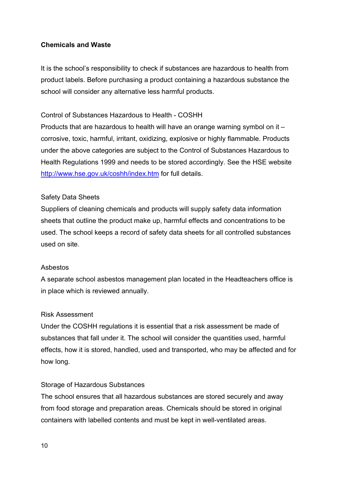## Chemicals and Waste

It is the school's responsibility to check if substances are hazardous to health from product labels. Before purchasing a product containing a hazardous substance the school will consider any alternative less harmful products.

## Control of Substances Hazardous to Health - COSHH

Products that are hazardous to health will have an orange warning symbol on it – corrosive, toxic, harmful, irritant, oxidizing, explosive or highly flammable. Products under the above categories are subject to the Control of Substances Hazardous to Health Regulations 1999 and needs to be stored accordingly. See the HSE website http://www.hse.gov.uk/coshh/index.htm for full details.

#### Safety Data Sheets

Suppliers of cleaning chemicals and products will supply safety data information sheets that outline the product make up, harmful effects and concentrations to be used. The school keeps a record of safety data sheets for all controlled substances used on site.

#### Asbestos

A separate school asbestos management plan located in the Headteachers office is in place which is reviewed annually.

#### Risk Assessment

Under the COSHH regulations it is essential that a risk assessment be made of substances that fall under it. The school will consider the quantities used, harmful effects, how it is stored, handled, used and transported, who may be affected and for how long.

#### Storage of Hazardous Substances

The school ensures that all hazardous substances are stored securely and away from food storage and preparation areas. Chemicals should be stored in original containers with labelled contents and must be kept in well-ventilated areas.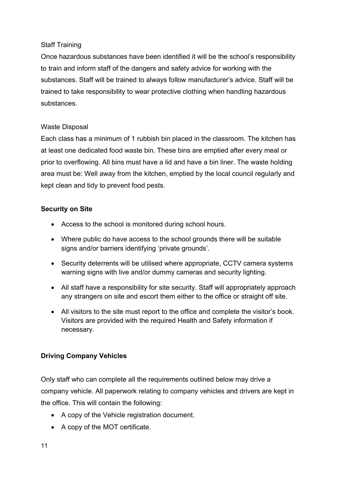## Staff Training

Once hazardous substances have been identified it will be the school's responsibility to train and inform staff of the dangers and safety advice for working with the substances. Staff will be trained to always follow manufacturer's advice. Staff will be trained to take responsibility to wear protective clothing when handling hazardous substances.

## Waste Disposal

Each class has a minimum of 1 rubbish bin placed in the classroom. The kitchen has at least one dedicated food waste bin. These bins are emptied after every meal or prior to overflowing. All bins must have a lid and have a bin liner. The waste holding area must be: Well away from the kitchen, emptied by the local council regularly and kept clean and tidy to prevent food pests.

## Security on Site

- Access to the school is monitored during school hours.
- Where public do have access to the school grounds there will be suitable signs and/or barriers identifying 'private grounds'.
- Security deterrents will be utilised where appropriate, CCTV camera systems warning signs with live and/or dummy cameras and security lighting.
- All staff have a responsibility for site security. Staff will appropriately approach any strangers on site and escort them either to the office or straight off site.
- All visitors to the site must report to the office and complete the visitor's book. Visitors are provided with the required Health and Safety information if necessary.

## Driving Company Vehicles

Only staff who can complete all the requirements outlined below may drive a company vehicle. All paperwork relating to company vehicles and drivers are kept in the office. This will contain the following:

- A copy of the Vehicle registration document.
- A copy of the MOT certificate.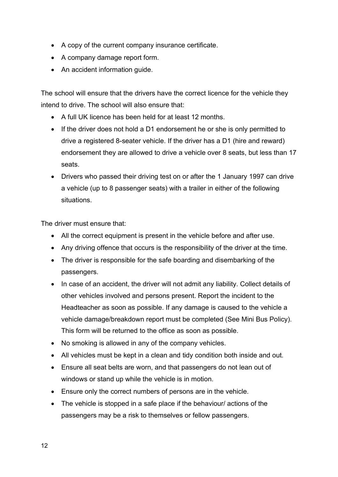- A copy of the current company insurance certificate.
- A company damage report form.
- An accident information guide.

The school will ensure that the drivers have the correct licence for the vehicle they intend to drive. The school will also ensure that:

- A full UK licence has been held for at least 12 months.
- If the driver does not hold a D1 endorsement he or she is only permitted to drive a registered 8-seater vehicle. If the driver has a D1 (hire and reward) endorsement they are allowed to drive a vehicle over 8 seats, but less than 17 seats.
- Drivers who passed their driving test on or after the 1 January 1997 can drive a vehicle (up to 8 passenger seats) with a trailer in either of the following situations.

The driver must ensure that:

- All the correct equipment is present in the vehicle before and after use.
- Any driving offence that occurs is the responsibility of the driver at the time.
- The driver is responsible for the safe boarding and disembarking of the passengers.
- In case of an accident, the driver will not admit any liability. Collect details of other vehicles involved and persons present. Report the incident to the Headteacher as soon as possible. If any damage is caused to the vehicle a vehicle damage/breakdown report must be completed (See Mini Bus Policy). This form will be returned to the office as soon as possible.
- No smoking is allowed in any of the company vehicles.
- All vehicles must be kept in a clean and tidy condition both inside and out.
- Ensure all seat belts are worn, and that passengers do not lean out of windows or stand up while the vehicle is in motion.
- Ensure only the correct numbers of persons are in the vehicle.
- The vehicle is stopped in a safe place if the behaviour/ actions of the passengers may be a risk to themselves or fellow passengers.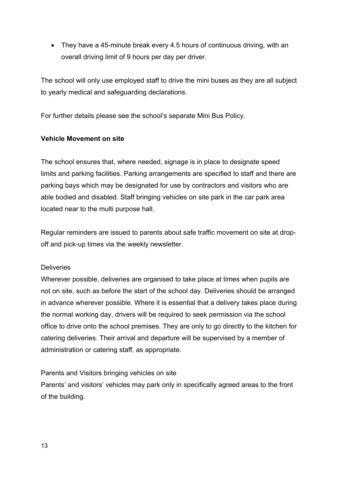• They have a 45-minute break every 4.5 hours of continuous driving, with an overall driving limit of 9 hours per day per driver.

The school will only use employed staff to drive the mini buses as they are all subject to yearly medical and safeguarding declarations.

For further details please see the school's separate Mini Bus Policy.

#### Vehicle Movement on site

The school ensures that, where needed, signage is in place to designate speed limits and parking facilities. Parking arrangements are specified to staff and there are parking bays which may be designated for use by contractors and visitors who are able bodied and disabled. Staff bringing vehicles on site park in the car park area located near to the multi purpose hall.

Regular reminders are issued to parents about safe traffic movement on site at dropoff and pick-up times via the weekly newsletter.

#### **Deliveries**

Wherever possible, deliveries are organised to take place at times when pupils are not on site, such as before the start of the school day. Deliveries should be arranged in advance wherever possible. Where it is essential that a delivery takes place during the normal working day, drivers will be required to seek permission via the school office to drive onto the school premises. They are only to go directly to the kitchen for catering deliveries. Their arrival and departure will be supervised by a member of administration or catering staff, as appropriate.

#### Parents and Visitors bringing vehicles on site

Parents' and visitors' vehicles may park only in specifically agreed areas to the front of the building.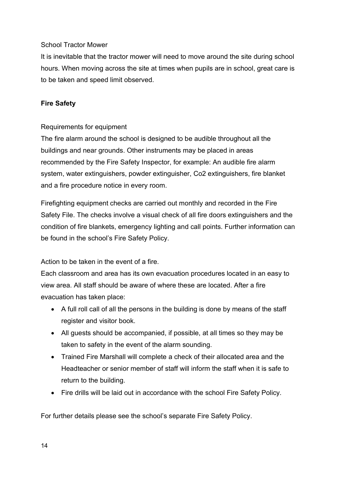## School Tractor Mower

It is inevitable that the tractor mower will need to move around the site during school hours. When moving across the site at times when pupils are in school, great care is to be taken and speed limit observed.

## Fire Safety

#### Requirements for equipment

The fire alarm around the school is designed to be audible throughout all the buildings and near grounds. Other instruments may be placed in areas recommended by the Fire Safety Inspector, for example: An audible fire alarm system, water extinguishers, powder extinguisher, Co2 extinguishers, fire blanket and a fire procedure notice in every room.

Firefighting equipment checks are carried out monthly and recorded in the Fire Safety File. The checks involve a visual check of all fire doors extinguishers and the condition of fire blankets, emergency lighting and call points. Further information can be found in the school's Fire Safety Policy.

Action to be taken in the event of a fire.

Each classroom and area has its own evacuation procedures located in an easy to view area. All staff should be aware of where these are located. After a fire evacuation has taken place:

- A full roll call of all the persons in the building is done by means of the staff register and visitor book.
- All guests should be accompanied, if possible, at all times so they may be taken to safety in the event of the alarm sounding.
- Trained Fire Marshall will complete a check of their allocated area and the Headteacher or senior member of staff will inform the staff when it is safe to return to the building.
- Fire drills will be laid out in accordance with the school Fire Safety Policy.

For further details please see the school's separate Fire Safety Policy.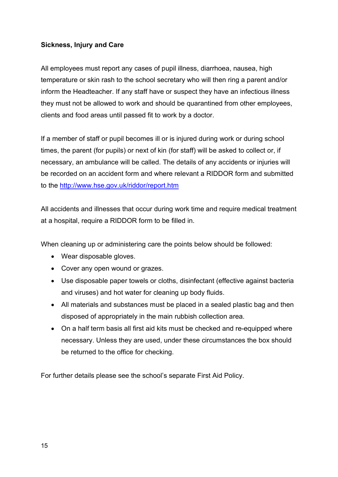## Sickness, Injury and Care

All employees must report any cases of pupil illness, diarrhoea, nausea, high temperature or skin rash to the school secretary who will then ring a parent and/or inform the Headteacher. If any staff have or suspect they have an infectious illness they must not be allowed to work and should be quarantined from other employees, clients and food areas until passed fit to work by a doctor.

If a member of staff or pupil becomes ill or is injured during work or during school times, the parent (for pupils) or next of kin (for staff) will be asked to collect or, if necessary, an ambulance will be called. The details of any accidents or injuries will be recorded on an accident form and where relevant a RIDDOR form and submitted to the http://www.hse.gov.uk/riddor/report.htm

All accidents and illnesses that occur during work time and require medical treatment at a hospital, require a RIDDOR form to be filled in.

When cleaning up or administering care the points below should be followed:

- Wear disposable gloves.
- Cover any open wound or grazes.
- Use disposable paper towels or cloths, disinfectant (effective against bacteria and viruses) and hot water for cleaning up body fluids.
- All materials and substances must be placed in a sealed plastic bag and then disposed of appropriately in the main rubbish collection area.
- On a half term basis all first aid kits must be checked and re-equipped where necessary. Unless they are used, under these circumstances the box should be returned to the office for checking.

For further details please see the school's separate First Aid Policy.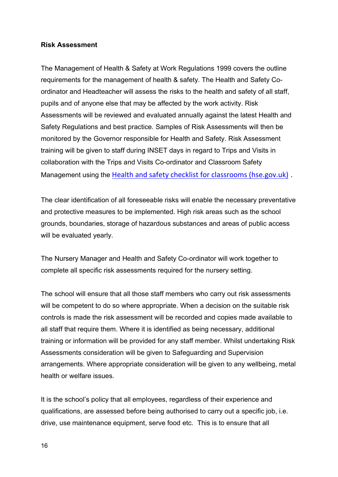#### Risk Assessment

The Management of Health & Safety at Work Regulations 1999 covers the outline requirements for the management of health & safety. The Health and Safety Coordinator and Headteacher will assess the risks to the health and safety of all staff, pupils and of anyone else that may be affected by the work activity. Risk Assessments will be reviewed and evaluated annually against the latest Health and Safety Regulations and best practice. Samples of Risk Assessments will then be monitored by the Governor responsible for Health and Safety. Risk Assessment training will be given to staff during INSET days in regard to Trips and Visits in collaboration with the Trips and Visits Co-ordinator and Classroom Safety Management using the Health and safety checklist for classrooms (hse.gov.uk) .

The clear identification of all foreseeable risks will enable the necessary preventative and protective measures to be implemented. High risk areas such as the school grounds, boundaries, storage of hazardous substances and areas of public access will be evaluated yearly.

The Nursery Manager and Health and Safety Co-ordinator will work together to complete all specific risk assessments required for the nursery setting.

The school will ensure that all those staff members who carry out risk assessments will be competent to do so where appropriate. When a decision on the suitable risk controls is made the risk assessment will be recorded and copies made available to all staff that require them. Where it is identified as being necessary, additional training or information will be provided for any staff member. Whilst undertaking Risk Assessments consideration will be given to Safeguarding and Supervision arrangements. Where appropriate consideration will be given to any wellbeing, metal health or welfare issues.

It is the school's policy that all employees, regardless of their experience and qualifications, are assessed before being authorised to carry out a specific job, i.e. drive, use maintenance equipment, serve food etc. This is to ensure that all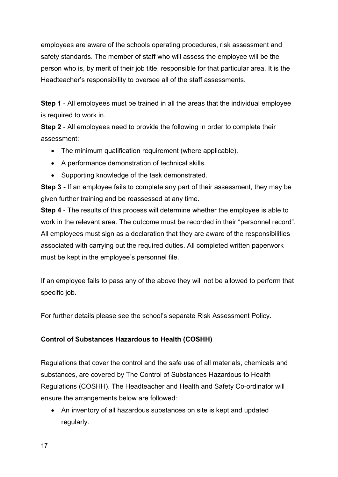employees are aware of the schools operating procedures, risk assessment and safety standards. The member of staff who will assess the employee will be the person who is, by merit of their job title, responsible for that particular area. It is the Headteacher's responsibility to oversee all of the staff assessments.

Step 1 - All employees must be trained in all the areas that the individual employee is required to work in.

Step 2 - All employees need to provide the following in order to complete their assessment:

- The minimum qualification requirement (where applicable).
- A performance demonstration of technical skills.
- Supporting knowledge of the task demonstrated.

Step 3 - If an employee fails to complete any part of their assessment, they may be given further training and be reassessed at any time.

Step 4 - The results of this process will determine whether the employee is able to work in the relevant area. The outcome must be recorded in their "personnel record". All employees must sign as a declaration that they are aware of the responsibilities associated with carrying out the required duties. All completed written paperwork must be kept in the employee's personnel file.

If an employee fails to pass any of the above they will not be allowed to perform that specific job.

For further details please see the school's separate Risk Assessment Policy.

## Control of Substances Hazardous to Health (COSHH)

Regulations that cover the control and the safe use of all materials, chemicals and substances, are covered by The Control of Substances Hazardous to Health Regulations (COSHH). The Headteacher and Health and Safety Co-ordinator will ensure the arrangements below are followed:

 An inventory of all hazardous substances on site is kept and updated regularly.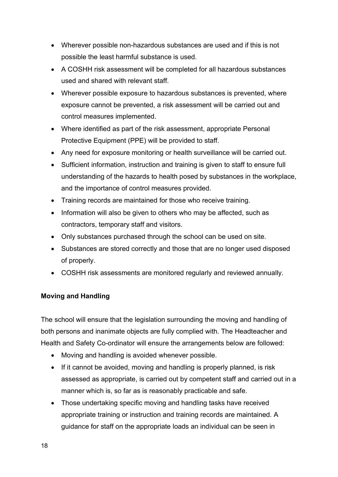- Wherever possible non-hazardous substances are used and if this is not possible the least harmful substance is used.
- A COSHH risk assessment will be completed for all hazardous substances used and shared with relevant staff.
- Wherever possible exposure to hazardous substances is prevented, where exposure cannot be prevented, a risk assessment will be carried out and control measures implemented.
- Where identified as part of the risk assessment, appropriate Personal Protective Equipment (PPE) will be provided to staff.
- Any need for exposure monitoring or health surveillance will be carried out.
- Sufficient information, instruction and training is given to staff to ensure full understanding of the hazards to health posed by substances in the workplace, and the importance of control measures provided.
- Training records are maintained for those who receive training.
- Information will also be given to others who may be affected, such as contractors, temporary staff and visitors.
- Only substances purchased through the school can be used on site.
- Substances are stored correctly and those that are no longer used disposed of properly.
- COSHH risk assessments are monitored regularly and reviewed annually.

## Moving and Handling

The school will ensure that the legislation surrounding the moving and handling of both persons and inanimate objects are fully complied with. The Headteacher and Health and Safety Co-ordinator will ensure the arrangements below are followed:

- Moving and handling is avoided whenever possible.
- If it cannot be avoided, moving and handling is properly planned, is risk assessed as appropriate, is carried out by competent staff and carried out in a manner which is, so far as is reasonably practicable and safe.
- Those undertaking specific moving and handling tasks have received appropriate training or instruction and training records are maintained. A guidance for staff on the appropriate loads an individual can be seen in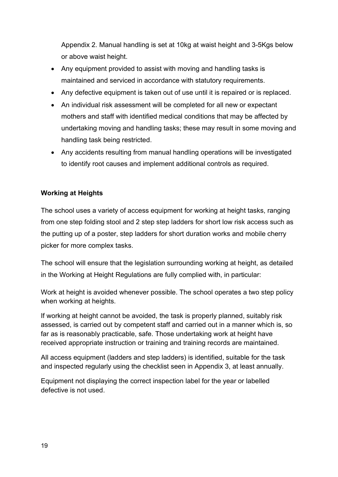Appendix 2. Manual handling is set at 10kg at waist height and 3-5Kgs below or above waist height.

- Any equipment provided to assist with moving and handling tasks is maintained and serviced in accordance with statutory requirements.
- Any defective equipment is taken out of use until it is repaired or is replaced.
- An individual risk assessment will be completed for all new or expectant mothers and staff with identified medical conditions that may be affected by undertaking moving and handling tasks; these may result in some moving and handling task being restricted.
- Any accidents resulting from manual handling operations will be investigated to identify root causes and implement additional controls as required.

## Working at Heights

The school uses a variety of access equipment for working at height tasks, ranging from one step folding stool and 2 step step ladders for short low risk access such as the putting up of a poster, step ladders for short duration works and mobile cherry picker for more complex tasks.

The school will ensure that the legislation surrounding working at height, as detailed in the Working at Height Regulations are fully complied with, in particular:

Work at height is avoided whenever possible. The school operates a two step policy when working at heights.

If working at height cannot be avoided, the task is properly planned, suitably risk assessed, is carried out by competent staff and carried out in a manner which is, so far as is reasonably practicable, safe. Those undertaking work at height have received appropriate instruction or training and training records are maintained.

All access equipment (ladders and step ladders) is identified, suitable for the task and inspected regularly using the checklist seen in Appendix 3, at least annually.

Equipment not displaying the correct inspection label for the year or labelled defective is not used.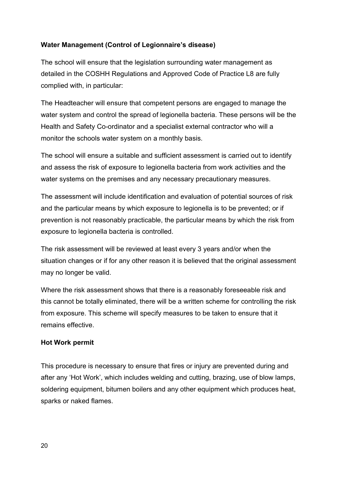## Water Management (Control of Legionnaire's disease)

The school will ensure that the legislation surrounding water management as detailed in the COSHH Regulations and Approved Code of Practice L8 are fully complied with, in particular:

The Headteacher will ensure that competent persons are engaged to manage the water system and control the spread of legionella bacteria. These persons will be the Health and Safety Co-ordinator and a specialist external contractor who will a monitor the schools water system on a monthly basis.

The school will ensure a suitable and sufficient assessment is carried out to identify and assess the risk of exposure to legionella bacteria from work activities and the water systems on the premises and any necessary precautionary measures.

The assessment will include identification and evaluation of potential sources of risk and the particular means by which exposure to legionella is to be prevented; or if prevention is not reasonably practicable, the particular means by which the risk from exposure to legionella bacteria is controlled.

The risk assessment will be reviewed at least every 3 years and/or when the situation changes or if for any other reason it is believed that the original assessment may no longer be valid.

Where the risk assessment shows that there is a reasonably foreseeable risk and this cannot be totally eliminated, there will be a written scheme for controlling the risk from exposure. This scheme will specify measures to be taken to ensure that it remains effective.

## Hot Work permit

This procedure is necessary to ensure that fires or injury are prevented during and after any 'Hot Work', which includes welding and cutting, brazing, use of blow lamps, soldering equipment, bitumen boilers and any other equipment which produces heat, sparks or naked flames.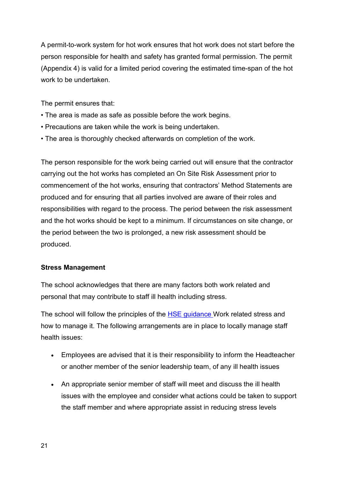A permit-to-work system for hot work ensures that hot work does not start before the person responsible for health and safety has granted formal permission. The permit (Appendix 4) is valid for a limited period covering the estimated time-span of the hot work to be undertaken.

The permit ensures that:

- The area is made as safe as possible before the work begins.
- Precautions are taken while the work is being undertaken.
- The area is thoroughly checked afterwards on completion of the work.

The person responsible for the work being carried out will ensure that the contractor carrying out the hot works has completed an On Site Risk Assessment prior to commencement of the hot works, ensuring that contractors' Method Statements are produced and for ensuring that all parties involved are aware of their roles and responsibilities with regard to the process. The period between the risk assessment and the hot works should be kept to a minimum. If circumstances on site change, or the period between the two is prolonged, a new risk assessment should be produced.

## Stress Management

The school acknowledges that there are many factors both work related and personal that may contribute to staff ill health including stress.

The school will follow the principles of the **HSE guidance** Work related stress and how to manage it. The following arrangements are in place to locally manage staff health issues:

- Employees are advised that it is their responsibility to inform the Headteacher or another member of the senior leadership team, of any ill health issues
- An appropriate senior member of staff will meet and discuss the ill health issues with the employee and consider what actions could be taken to support the staff member and where appropriate assist in reducing stress levels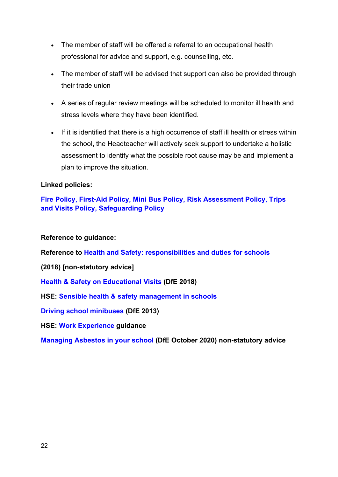- The member of staff will be offered a referral to an occupational health professional for advice and support, e.g. counselling, etc.
- The member of staff will be advised that support can also be provided through their trade union
- A series of regular review meetings will be scheduled to monitor ill health and stress levels where they have been identified.
- If it is identified that there is a high occurrence of staff ill health or stress within the school, the Headteacher will actively seek support to undertake a holistic assessment to identify what the possible root cause may be and implement a plan to improve the situation.

#### Linked policies:

Fire Policy, First-Aid Policy, Mini Bus Policy, Risk Assessment Policy, Trips and Visits Policy, Safeguarding Policy

Reference to guidance:

Reference to Health and Safety: responsibilities and duties for schools

(2018) [non-statutory advice]

Health & Safety on Educational Visits (DfE 2018)

HSE: Sensible health & safety management in schools

Driving school minibuses (DfE 2013)

HSE: Work Experience guidance

Managing Asbestos in your school (DfE October 2020) non-statutory advice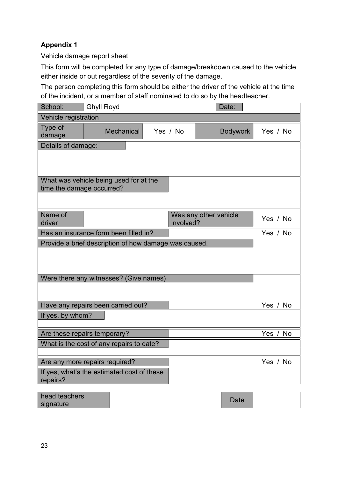## Appendix 1

Vehicle damage report sheet

This form will be completed for any type of damage/breakdown caused to the vehicle either inside or out regardless of the severity of the damage.

The person completing this form should be either the driver of the vehicle at the time of the incident, or a member of staff nominated to do so by the headteacher.

| School:                                  | <b>Ghyll Royd</b>                                     |  |           |                       | Date:           |                  |
|------------------------------------------|-------------------------------------------------------|--|-----------|-----------------------|-----------------|------------------|
| Vehicle registration                     |                                                       |  |           |                       |                 |                  |
| Type of<br>damage                        | <b>Mechanical</b>                                     |  | Yes / No  |                       | <b>Bodywork</b> | Yes / No         |
| Details of damage:                       |                                                       |  |           |                       |                 |                  |
|                                          |                                                       |  |           |                       |                 |                  |
|                                          |                                                       |  |           |                       |                 |                  |
|                                          | What was vehicle being used for at the                |  |           |                       |                 |                  |
| time the damage occurred?                |                                                       |  |           |                       |                 |                  |
|                                          |                                                       |  |           |                       |                 |                  |
| Name of                                  |                                                       |  |           | Was any other vehicle |                 |                  |
| driver                                   |                                                       |  | involved? |                       |                 | Yes / No         |
|                                          | Has an insurance form been filled in?                 |  |           |                       |                 | Yes / No         |
|                                          | Provide a brief description of how damage was caused. |  |           |                       |                 |                  |
|                                          |                                                       |  |           |                       |                 |                  |
|                                          |                                                       |  |           |                       |                 |                  |
|                                          | Were there any witnesses? (Give names)                |  |           |                       |                 |                  |
|                                          |                                                       |  |           |                       |                 |                  |
|                                          |                                                       |  |           |                       |                 |                  |
|                                          | Have any repairs been carried out?                    |  |           |                       |                 | Yes<br><b>No</b> |
| If yes, by whom?                         |                                                       |  |           |                       |                 |                  |
|                                          | Are these repairs temporary?                          |  |           |                       |                 | Yes / No         |
| What is the cost of any repairs to date? |                                                       |  |           |                       |                 |                  |
|                                          |                                                       |  |           |                       |                 |                  |
| Are any more repairs required?           |                                                       |  |           |                       |                 | No<br>Yes $/$    |
| repairs?                                 | If yes, what's the estimated cost of these            |  |           |                       |                 |                  |
| head teachers                            |                                                       |  |           |                       |                 |                  |
| signature                                |                                                       |  |           |                       | Date            |                  |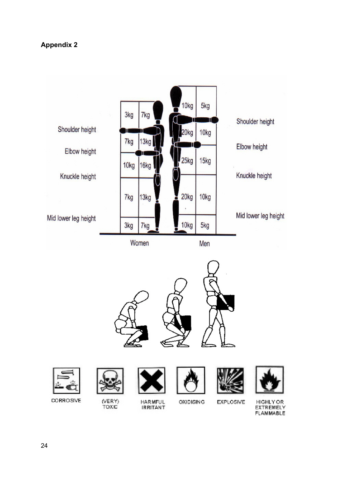## Appendix 2

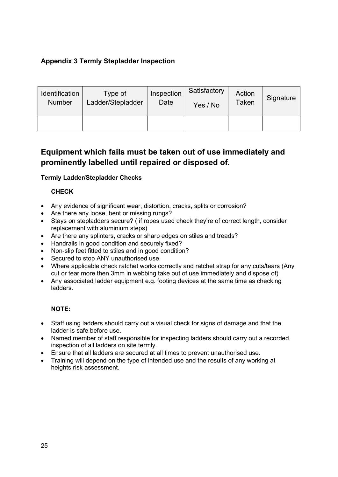## Appendix 3 Termly Stepladder Inspection

| <b>Identification</b> | Type of           | Inspection | Satisfactory | Action | Signature |
|-----------------------|-------------------|------------|--------------|--------|-----------|
| <b>Number</b>         | Ladder/Stepladder | Date       | Yes / No     | Taken  |           |
|                       |                   |            |              |        |           |

# Equipment which fails must be taken out of use immediately and prominently labelled until repaired or disposed of.

#### Termly Ladder/Stepladder Checks

#### **CHECK**

- Any evidence of significant wear, distortion, cracks, splits or corrosion?
- Are there any loose, bent or missing rungs?
- Stays on stepladders secure? ( if ropes used check they're of correct length, consider replacement with aluminium steps)
- Are there any splinters, cracks or sharp edges on stiles and treads?
- Handrails in good condition and securely fixed?
- Non-slip feet fitted to stiles and in good condition?
- Secured to stop ANY unauthorised use.
- Where applicable check ratchet works correctly and ratchet strap for any cuts/tears (Any cut or tear more then 3mm in webbing take out of use immediately and dispose of)
- Any associated ladder equipment e.g. footing devices at the same time as checking ladders.

#### NOTE:

- Staff using ladders should carry out a visual check for signs of damage and that the ladder is safe before use.
- Named member of staff responsible for inspecting ladders should carry out a recorded inspection of all ladders on site termly.
- Ensure that all ladders are secured at all times to prevent unauthorised use.
- Training will depend on the type of intended use and the results of any working at heights risk assessment.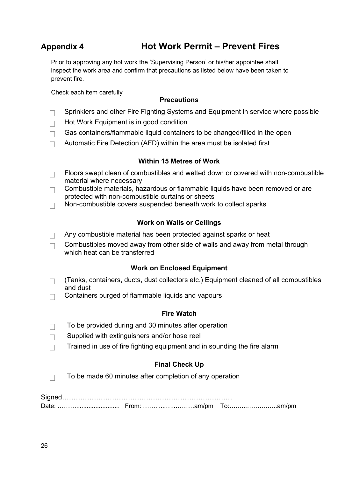# Appendix 4 Hot Work Permit – Prevent Fires

Prior to approving any hot work the 'Supervising Person' or his/her appointee shall inspect the work area and confirm that precautions as listed below have been taken to prevent fire.

Check each item carefully

#### **Precautions**

- $\Box$  Sprinklers and other Fire Fighting Systems and Equipment in service where possible
- $\Box$  Hot Work Equipment is in good condition
- $\Box$  Gas containers/flammable liquid containers to be changed/filled in the open
- $\Box$  Automatic Fire Detection (AFD) within the area must be isolated first

#### Within 15 Metres of Work

- $\Box$  Floors swept clean of combustibles and wetted down or covered with non-combustible material where necessary
- $\Box$  Combustible materials, hazardous or flammable liquids have been removed or are protected with non-combustible curtains or sheets
- $\Box$  Non-combustible covers suspended beneath work to collect sparks

#### Work on Walls or Ceilings

- $\Box$  Any combustible material has been protected against sparks or heat
- $\Box$  Combustibles moved away from other side of walls and away from metal through which heat can be transferred

#### Work on Enclosed Equipment

- $\Box$ (Tanks, containers, ducts, dust collectors etc.) Equipment cleaned of all combustibles and dust
- $\Box$  Containers purged of flammable liquids and vapours

#### Fire Watch

- $\Box$  To be provided during and 30 minutes after operation
- $\Box$  Supplied with extinguishers and/or hose reel
- $\Box$  Trained in use of fire fighting equipment and in sounding the fire alarm

#### Final Check Up

 $\Box$  To be made 60 minutes after completion of any operation

| Date |  |  |
|------|--|--|